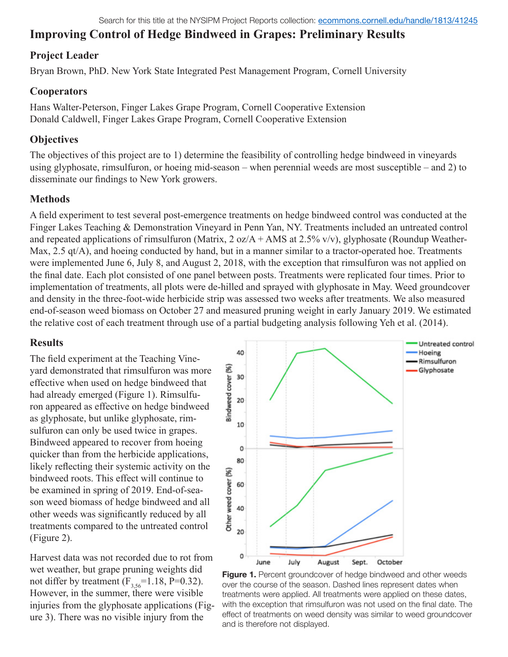# **Improving Control of Hedge Bindweed in Grapes: Preliminary Results**

#### **Project Leader**

Bryan Brown, PhD. New York State Integrated Pest Management Program, Cornell University

#### **Cooperators**

Hans Walter-Peterson, Finger Lakes Grape Program, Cornell Cooperative Extension Donald Caldwell, Finger Lakes Grape Program, Cornell Cooperative Extension

#### **Objectives**

The objectives of this project are to 1) determine the feasibility of controlling hedge bindweed in vineyards using glyphosate, rimsulfuron, or hoeing mid-season – when perennial weeds are most susceptible – and 2) to disseminate our findings to New York growers.

### **Methods**

A field experiment to test several post-emergence treatments on hedge bindweed control was conducted at the Finger Lakes Teaching & Demonstration Vineyard in Penn Yan, NY. Treatments included an untreated control and repeated applications of rimsulfuron (Matrix,  $2 oz/A + AMS$  at  $2.5\%$  v/v), glyphosate (Roundup Weather-Max, 2.5 qt/A), and hoeing conducted by hand, but in a manner similar to a tractor-operated hoe. Treatments were implemented June 6, July 8, and August 2, 2018, with the exception that rimsulfuron was not applied on the final date. Each plot consisted of one panel between posts. Treatments were replicated four times. Prior to implementation of treatments, all plots were de-hilled and sprayed with glyphosate in May. Weed groundcover and density in the three-foot-wide herbicide strip was assessed two weeks after treatments. We also measured end-of-season weed biomass on October 27 and measured pruning weight in early January 2019. We estimated the relative cost of each treatment through use of a partial budgeting analysis following Yeh et al. (2014).

#### **Results**

The field experiment at the Teaching Vineyard demonstrated that rimsulfuron was more effective when used on hedge bindweed that had already emerged (Figure 1). Rimsulfuron appeared as effective on hedge bindweed as glyphosate, but unlike glyphosate, rimsulfuron can only be used twice in grapes. Bindweed appeared to recover from hoeing quicker than from the herbicide applications, likely reflecting their systemic activity on the bindweed roots. This effect will continue to be examined in spring of 2019. End-of-season weed biomass of hedge bindweed and all other weeds was significantly reduced by all treatments compared to the untreated control (Figure 2).

Harvest data was not recorded due to rot from wet weather, but grape pruning weights did not differ by treatment  $(F_{3,56}=1.18, P=0.32)$ . However, in the summer, there were visible injuries from the glyphosate applications (Figure 3). There was no visible injury from the



**Figure 1.** Percent groundcover of hedge bindweed and other weeds over the course of the season. Dashed lines represent dates when treatments were applied. All treatments were applied on these dates, with the exception that rimsulfuron was not used on the final date. The effect of treatments on weed density was similar to weed groundcover and is therefore not displayed.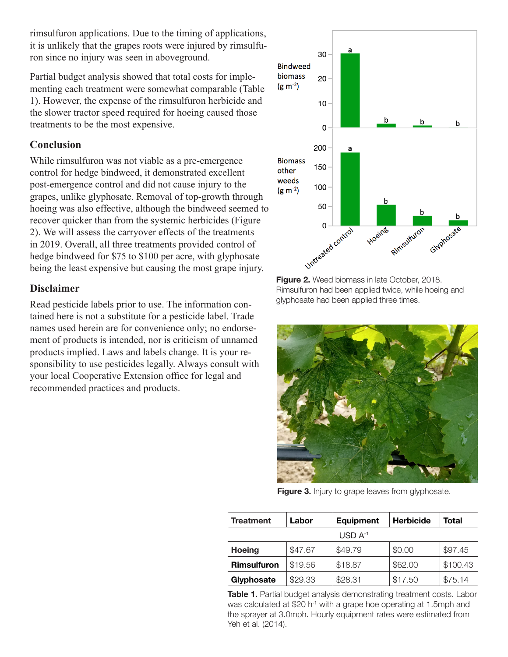rimsulfuron applications. Due to the timing of applications, it is unlikely that the grapes roots were injured by rimsulfuron since no injury was seen in aboveground.

Partial budget analysis showed that total costs for implementing each treatment were somewhat comparable (Table 1). However, the expense of the rimsulfuron herbicide and the slower tractor speed required for hoeing caused those treatments to be the most expensive.

### **Conclusion**

While rimsulfuron was not viable as a pre-emergence control for hedge bindweed, it demonstrated excellent post-emergence control and did not cause injury to the grapes, unlike glyphosate. Removal of top-growth through hoeing was also effective, although the bindweed seemed to recover quicker than from the systemic herbicides (Figure 2). We will assess the carryover effects of the treatments in 2019. Overall, all three treatments provided control of hedge bindweed for \$75 to \$100 per acre, with glyphosate being the least expensive but causing the most grape injury.

### **Disclaimer**

Read pesticide labels prior to use. The information contained here is not a substitute for a pesticide label. Trade names used herein are for convenience only; no endorsement of products is intended, nor is criticism of unnamed products implied. Laws and labels change. It is your responsibility to use pesticides legally. Always consult with your local Cooperative Extension office for legal and recommended practices and products.



**Figure 2.** Weed biomass in late October, 2018. Rimsulfuron had been applied twice, while hoeing and glyphosate had been applied three times.



**Figure 3.** Injury to grape leaves from glyphosate.

| <b>Treatment</b>   | Labor   | <b>Equipment</b> | <b>Herbicide</b> | Total    |
|--------------------|---------|------------------|------------------|----------|
| $USD A-1$          |         |                  |                  |          |
| <b>Hoeing</b>      | \$47.67 | \$49.79          | \$0.00           | \$97.45  |
| <b>Rimsulfuron</b> | \$19.56 | \$18.87          | \$62.00          | \$100.43 |
| Glyphosate         | \$29.33 | \$28.31          | \$17.50          | \$75.14  |

**Table 1.** Partial budget analysis demonstrating treatment costs. Labor was calculated at \$20 h<sup>-1</sup> with a grape hoe operating at 1.5mph and the sprayer at 3.0mph. Hourly equipment rates were estimated from Yeh et al. (2014).